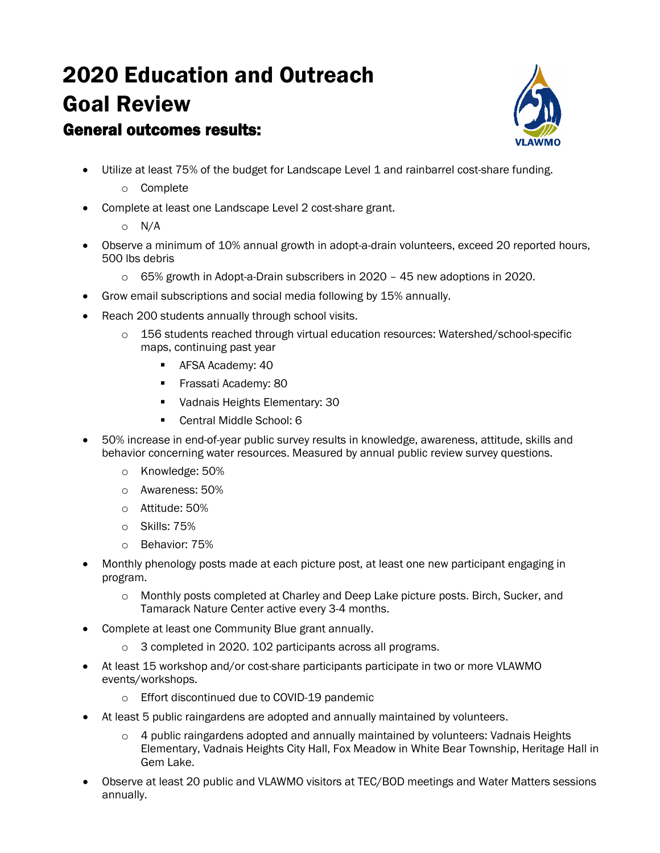# 2020 Education and Outreach Goal Review General outcomes results:



• Utilize at least 75% of the budget for Landscape Level 1 and rainbarrel cost-share funding.

#### o Complete

- Complete at least one Landscape Level 2 cost-share grant.
	- o N/A
- Observe a minimum of 10% annual growth in adopt-a-drain volunteers, exceed 20 reported hours, 500 lbs debris
	- o 65% growth in Adopt-a-Drain subscribers in 2020 45 new adoptions in 2020.
- Grow email subscriptions and social media following by 15% annually.
- Reach 200 students annually through school visits.
	- o 156 students reached through virtual education resources: Watershed/school-specific maps, continuing past year
		- **AFSA Academy: 40**
		- **Frassati Academy: 80**
		- **Vadnais Heights Elementary: 30**
		- Central Middle School: 6
- 50% increase in end-of-year public survey results in knowledge, awareness, attitude, skills and behavior concerning water resources. Measured by annual public review survey questions.
	- o Knowledge: 50%
	- o Awareness: 50%
	- o Attitude: 50%
	- o Skills: 75%
	- o Behavior: 75%
- Monthly phenology posts made at each picture post, at least one new participant engaging in program.
	- o Monthly posts completed at Charley and Deep Lake picture posts. Birch, Sucker, and Tamarack Nature Center active every 3-4 months.
- Complete at least one Community Blue grant annually.
	- o 3 completed in 2020. 102 participants across all programs.
- At least 15 workshop and/or cost-share participants participate in two or more VLAWMO events/workshops.
	- o Effort discontinued due to COVID-19 pandemic
- At least 5 public raingardens are adopted and annually maintained by volunteers.
	- o 4 public raingardens adopted and annually maintained by volunteers: Vadnais Heights Elementary, Vadnais Heights City Hall, Fox Meadow in White Bear Township, Heritage Hall in Gem Lake.
- Observe at least 20 public and VLAWMO visitors at TEC/BOD meetings and Water Matters sessions annually.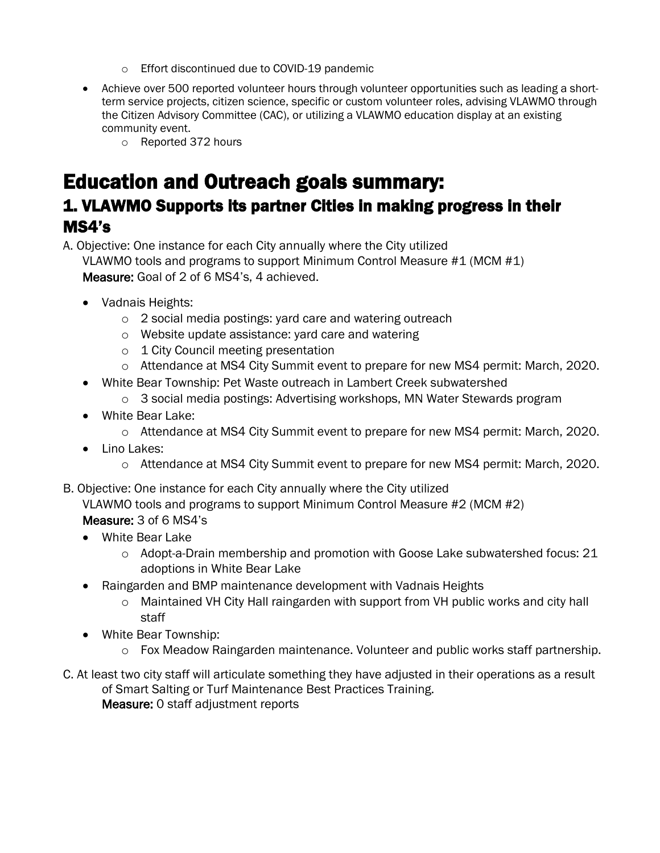- o Effort discontinued due to COVID-19 pandemic
- Achieve over 500 reported volunteer hours through volunteer opportunities such as leading a shortterm service projects, citizen science, specific or custom volunteer roles, advising VLAWMO through the Citizen Advisory Committee (CAC), or utilizing a VLAWMO education display at an existing community event.
	- o Reported 372 hours

# Education and Outreach goals summary:

## 1. VLAWMO Supports its partner Cities in making progress in their MS4's

A. Objective: One instance for each City annually where the City utilized

VLAWMO tools and programs to support Minimum Control Measure #1 (MCM #1) Measure: Goal of 2 of 6 MS4's, 4 achieved.

- Vadnais Heights:
	- o 2 social media postings: yard care and watering outreach
	- o Website update assistance: yard care and watering
	- o 1 City Council meeting presentation
	- o Attendance at MS4 City Summit event to prepare for new MS4 permit: March, 2020.
- White Bear Township: Pet Waste outreach in Lambert Creek subwatershed
	- o 3 social media postings: Advertising workshops, MN Water Stewards program
- White Bear Lake:
	- o Attendance at MS4 City Summit event to prepare for new MS4 permit: March, 2020.
- Lino Lakes:
	- o Attendance at MS4 City Summit event to prepare for new MS4 permit: March, 2020.
- B. Objective: One instance for each City annually where the City utilized

VLAWMO tools and programs to support Minimum Control Measure #2 (MCM #2)

#### Measure: 3 of 6 MS4's

- White Bear Lake
	- $\circ$  Adopt-a-Drain membership and promotion with Goose Lake subwatershed focus: 21 adoptions in White Bear Lake
- Raingarden and BMP maintenance development with Vadnais Heights
	- o Maintained VH City Hall raingarden with support from VH public works and city hall staff
- White Bear Township:
	- $\circ$  Fox Meadow Raingarden maintenance. Volunteer and public works staff partnership.
- C. At least two city staff will articulate something they have adjusted in their operations as a result of Smart Salting or Turf Maintenance Best Practices Training. Measure: 0 staff adjustment reports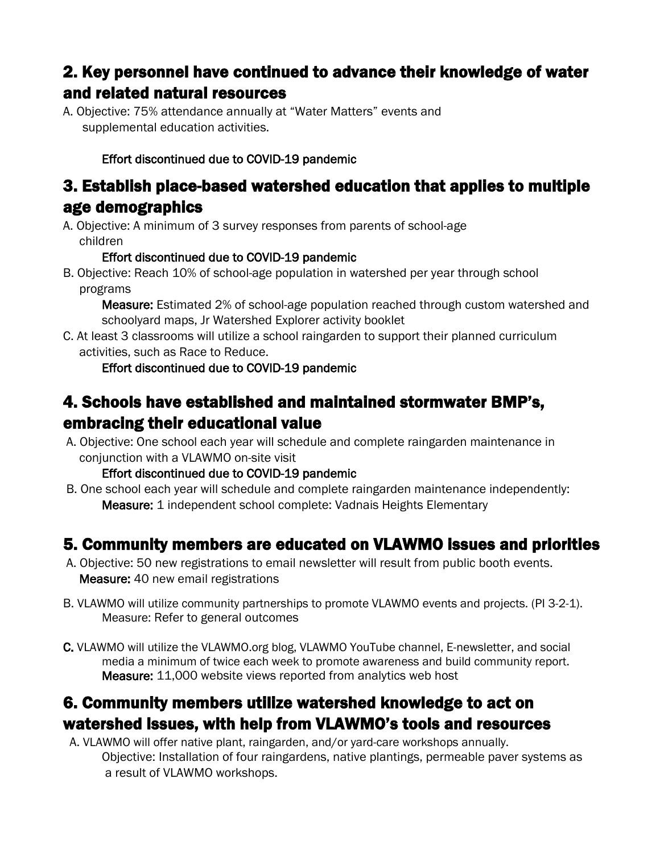# 2. Key personnel have continued to advance their knowledge of water and related natural resources

A. Objective: 75% attendance annually at "Water Matters" events and supplemental education activities.

### Effort discontinued due to COVID-19 pandemic

### 3. Establish place-based watershed education that applies to multiple age demographics

A. Objective: A minimum of 3 survey responses from parents of school-age children

#### Effort discontinued due to COVID-19 pandemic

B. Objective: Reach 10% of school-age population in watershed per year through school programs

Measure: Estimated 2% of school-age population reached through custom watershed and schoolyard maps, Jr Watershed Explorer activity booklet

C. At least 3 classrooms will utilize a school raingarden to support their planned curriculum activities, such as Race to Reduce.

### Effort discontinued due to COVID-19 pandemic

# 4. Schools have established and maintained stormwater BMP's, embracing their educational value

A. Objective: One school each year will schedule and complete raingarden maintenance in conjunction with a VLAWMO on-site visit

### Effort discontinued due to COVID-19 pandemic

B. One school each year will schedule and complete raingarden maintenance independently: Measure: 1 independent school complete: Vadnais Heights Elementary

## 5. Community members are educated on VLAWMO issues and priorities

- A. Objective: 50 new registrations to email newsletter will result from public booth events. Measure: 40 new email registrations
- B. VLAWMO will utilize community partnerships to promote VLAWMO events and projects. (PI 3-2-1). Measure: Refer to general outcomes
- C. VLAWMO will utilize the VLAWMO.org blog, VLAWMO YouTube channel, E-newsletter, and social media a minimum of twice each week to promote awareness and build community report. Measure: 11,000 website views reported from analytics web host

## 6. Community members utilize watershed knowledge to act on watershed issues, with help from VLAWMO's tools and resources

 A. VLAWMO will offer native plant, raingarden, and/or yard-care workshops annually. Objective: Installation of four raingardens, native plantings, permeable paver systems as a result of VLAWMO workshops.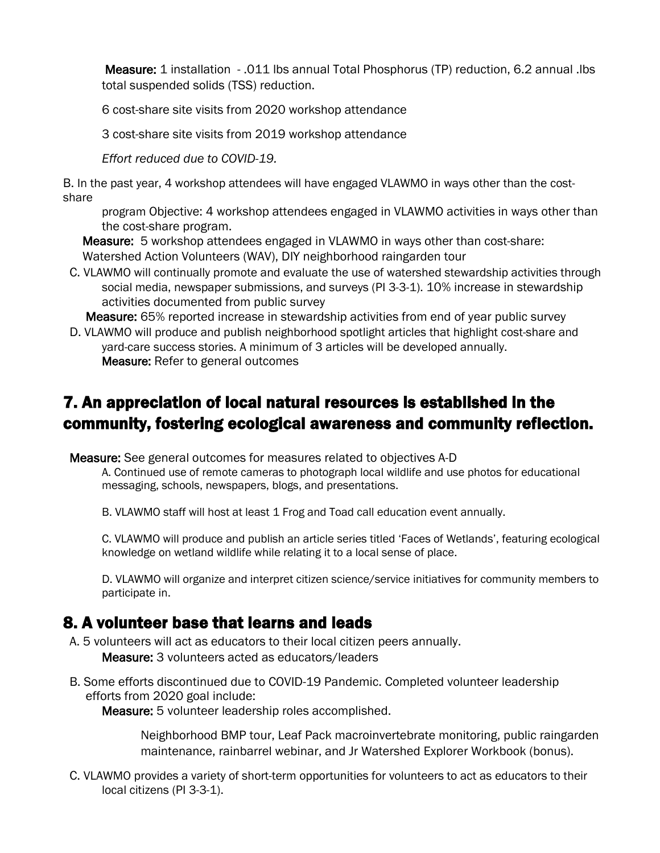Measure: 1 installation - .011 lbs annual Total Phosphorus (TP) reduction, 6.2 annual .lbs total suspended solids (TSS) reduction.

6 cost-share site visits from 2020 workshop attendance

3 cost-share site visits from 2019 workshop attendance

*Effort reduced due to COVID-19.*

B. In the past year, 4 workshop attendees will have engaged VLAWMO in ways other than the costshare

program Objective: 4 workshop attendees engaged in VLAWMO activities in ways other than the cost-share program.

 Measure: 5 workshop attendees engaged in VLAWMO in ways other than cost-share: Watershed Action Volunteers (WAV), DIY neighborhood raingarden tour

 C. VLAWMO will continually promote and evaluate the use of watershed stewardship activities through social media, newspaper submissions, and surveys (PI 3-3-1). 10% increase in stewardship activities documented from public survey

Measure: 65% reported increase in stewardship activities from end of year public survey

 D. VLAWMO will produce and publish neighborhood spotlight articles that highlight cost-share and yard-care success stories. A minimum of 3 articles will be developed annually. Measure: Refer to general outcomes

# 7. An appreciation of local natural resources is established in the community, fostering ecological awareness and community reflection.

Measure: See general outcomes for measures related to objectives A-D

A. Continued use of remote cameras to photograph local wildlife and use photos for educational messaging, schools, newspapers, blogs, and presentations.

B. VLAWMO staff will host at least 1 Frog and Toad call education event annually.

C. VLAWMO will produce and publish an article series titled 'Faces of Wetlands', featuring ecological knowledge on wetland wildlife while relating it to a local sense of place.

D. VLAWMO will organize and interpret citizen science/service initiatives for community members to participate in.

### 8. A volunteer base that learns and leads

A. 5 volunteers will act as educators to their local citizen peers annually.

Measure: 3 volunteers acted as educators/leaders

 B. Some efforts discontinued due to COVID-19 Pandemic. Completed volunteer leadership efforts from 2020 goal include:

Measure: 5 volunteer leadership roles accomplished.

Neighborhood BMP tour, Leaf Pack macroinvertebrate monitoring, public raingarden maintenance, rainbarrel webinar, and Jr Watershed Explorer Workbook (bonus).

 C. VLAWMO provides a variety of short-term opportunities for volunteers to act as educators to their local citizens (PI 3-3-1).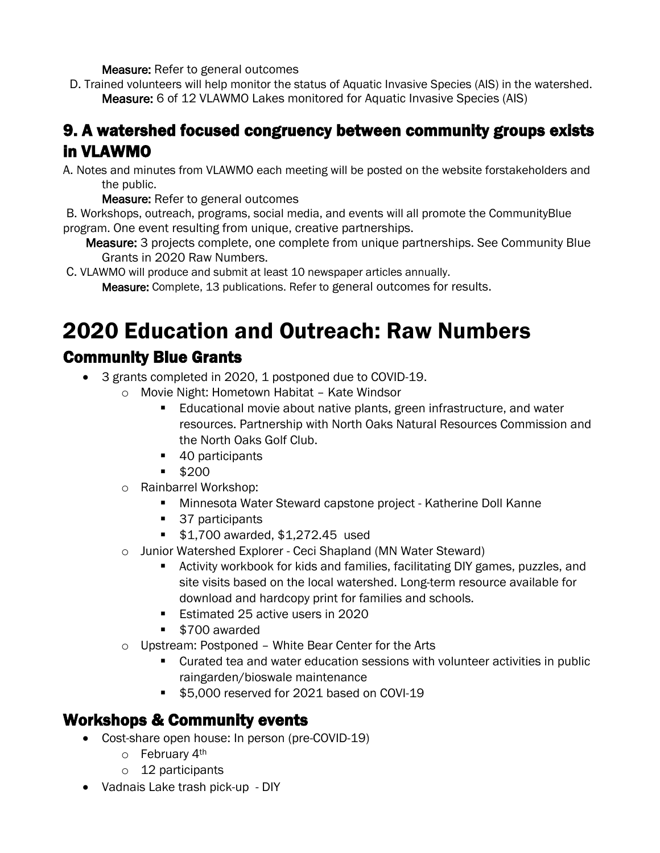Measure: Refer to general outcomes

 D. Trained volunteers will help monitor the status of Aquatic Invasive Species (AIS) in the watershed. Measure: 6 of 12 VLAWMO Lakes monitored for Aquatic Invasive Species (AIS)

## 9. A watershed focused congruency between community groups exists in VLAWMO

A. Notes and minutes from VLAWMO each meeting will be posted on the website forstakeholders and the public.

Measure: Refer to general outcomes

B. Workshops, outreach, programs, social media, and events will all promote the CommunityBlue program. One event resulting from unique, creative partnerships.

Measure: 3 projects complete, one complete from unique partnerships. See Community Blue Grants in 2020 Raw Numbers.

C. VLAWMO will produce and submit at least 10 newspaper articles annually.

Measure: Complete, 13 publications. Refer to general outcomes for results.

# 2020 Education and Outreach: Raw Numbers Community Blue Grants

# • 3 grants completed in 2020, 1 postponed due to COVID-19.

- o Movie Night: Hometown Habitat Kate Windsor
	- **Educational movie about native plants, green infrastructure, and water** resources. Partnership with North Oaks Natural Resources Commission and the North Oaks Golf Club.
	- 40 participants
	- $$200$
- o Rainbarrel Workshop:
	- Minnesota Water Steward capstone project Katherine Doll Kanne
	- 37 participants
	- **\$1,700 awarded, \$1,272.45 used**
- o Junior Watershed Explorer Ceci Shapland (MN Water Steward)
	- Activity workbook for kids and families, facilitating DIY games, puzzles, and site visits based on the local watershed. Long-term resource available for download and hardcopy print for families and schools.
	- **Estimated 25 active users in 2020**
	- **5700 awarded**
- o Upstream: Postponed White Bear Center for the Arts
	- Curated tea and water education sessions with volunteer activities in public raingarden/bioswale maintenance
	- **\$5,000 reserved for 2021 based on COVI-19**

# Workshops & Community events

- Cost-share open house: In person (pre-COVID-19)
	- o February 4th
	- o 12 participants
- Vadnais Lake trash pick-up DIY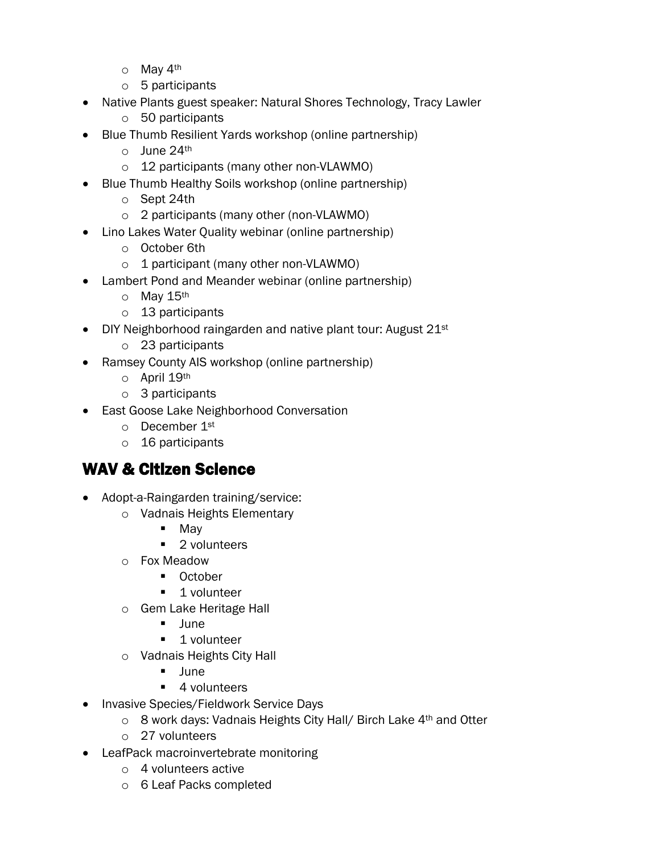- o May 4th
- o 5 participants
- Native Plants guest speaker: Natural Shores Technology, Tracy Lawler
	- o 50 participants
- Blue Thumb Resilient Yards workshop (online partnership)
	- $\circ$  June 24th
	- o 12 participants (many other non-VLAWMO)
- Blue Thumb Healthy Soils workshop (online partnership)
	- o Sept 24th
	- o 2 participants (many other (non-VLAWMO)
- Lino Lakes Water Quality webinar (online partnership)
	- o October 6th
	- o 1 participant (many other non-VLAWMO)
- Lambert Pond and Meander webinar (online partnership)
	- o May 15th
	- o 13 participants
- DIY Neighborhood raingarden and native plant tour: August 21st
	- o 23 participants
- Ramsey County AIS workshop (online partnership)
	- o April 19th
	- o 3 participants
- East Goose Lake Neighborhood Conversation
	- o December 1st
	- o 16 participants

# WAV & Citizen Science

- Adopt-a-Raingarden training/service:
	- o Vadnais Heights Elementary
		- Mav
		- 2 volunteers
	- o Fox Meadow
		- **Detober**
		- **1** volunteer
	- o Gem Lake Heritage Hall
		- **June**
		- **1** volunteer
	- o Vadnais Heights City Hall
		- June
		- 4 volunteers
- Invasive Species/Fieldwork Service Days
	- o 8 work days: Vadnais Heights City Hall/ Birch Lake 4th and Otter
	- o 27 volunteers
- LeafPack macroinvertebrate monitoring
	- o 4 volunteers active
	- o 6 Leaf Packs completed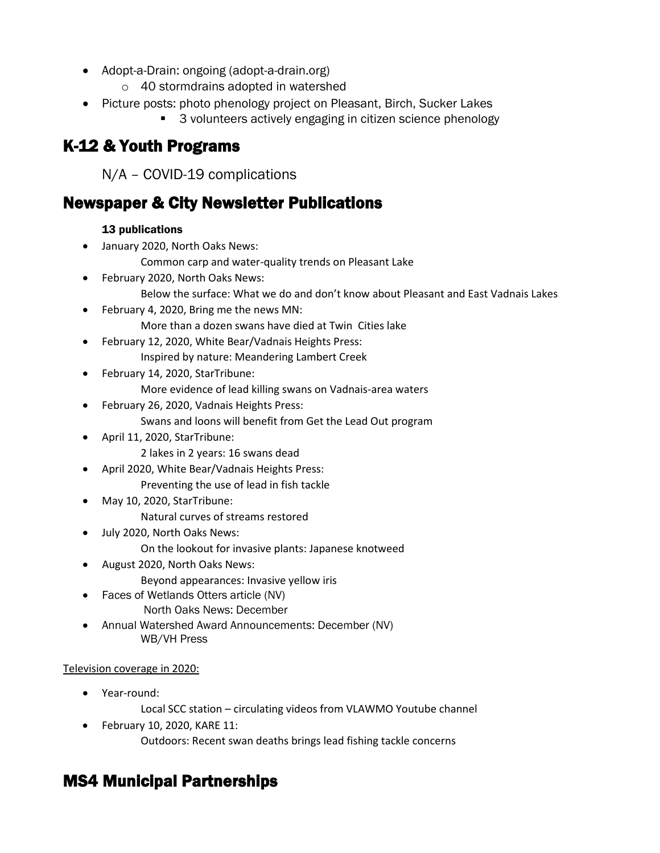- Adopt-a-Drain: ongoing (adopt-a-drain.org)
	- o 40 stormdrains adopted in watershed
- Picture posts: photo phenology project on Pleasant, Birch, Sucker Lakes
	- 3 volunteers actively engaging in citizen science phenology

# K-12 & Youth Programs

N/A – COVID-19 complications

## Newspaper & City Newsletter Publications

#### 13 publications

- January 2020, North Oaks News:
	- Common carp and water-quality trends on Pleasant Lake
- February 2020, North Oaks News: Below the surface: What we do and don't know about Pleasant and East Vadnais Lakes
- February 4, 2020, Bring me the news MN: More than a dozen swans have died at Twin Cities lake
- February 12, 2020, White Bear/Vadnais Heights Press: Inspired by nature: Meandering Lambert Creek
- February 14, 2020, StarTribune:

More evidence of lead killing swans on Vadnais-area waters

- February 26, 2020, Vadnais Heights Press: Swans and loons will benefit from Get the Lead Out program
- April 11, 2020, StarTribune:
	- 2 lakes in 2 years: 16 swans dead
- April 2020, White Bear/Vadnais Heights Press: Preventing the use of lead in fish tackle
- May 10, 2020, StarTribune:
	- Natural curves of streams restored
- July 2020, North Oaks News:
	- On the lookout for invasive plants: Japanese knotweed
- August 2020, North Oaks News: Beyond appearances: Invasive yellow iris
- Faces of Wetlands Otters article (NV) North Oaks News: December
- Annual Watershed Award Announcements: December (NV) WB/VH Press

#### Television coverage in 2020:

- Year-round:
	- Local SCC station circulating videos from VLAWMO Youtube channel
- February 10, 2020, KARE 11: Outdoors: Recent swan deaths brings lead fishing tackle concerns

# MS4 Municipal Partnerships